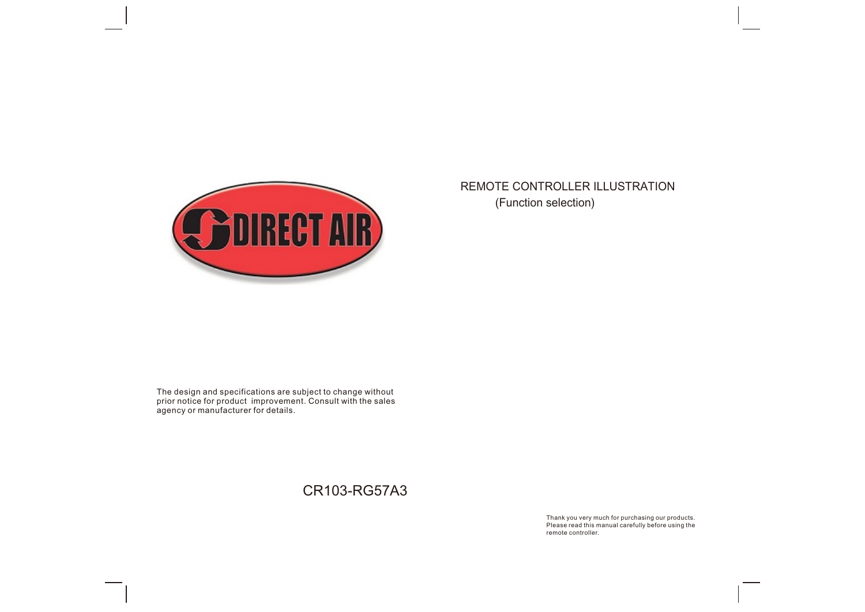

## REMOTE CONTROLLER ILLUSTRATION (Function selection)

The design and specifications are subject to change without prior notice for product improvement. Consult with the sales agency or manufacturer for details.

CR103-RG57A3

Thank you very much for purchasing our products. Please read this manual carefully before using the remote controller.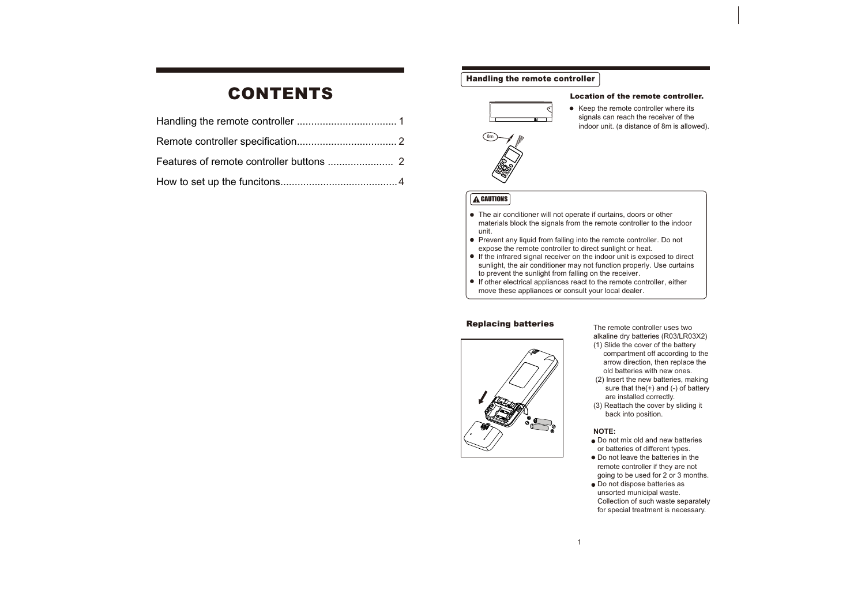# CONTENTS

### Handling the remote controller



### Location of the remote controller.

● Keep the remote controller where its signals can reach the receiver of the indoor unit. (a distance of 8m is allowed).



### **A**CAUTIONS

- The air conditioner will not operate if curtains, doors or other materials block the signals from the remote controller to the indoor unit.
- Prevent any liquid from falling into the remote controller. Do not expose the remote controller to direct sunlight or heat.
- If the infrared signal receiver on the indoor unit is exposed to direct sunlight, the air conditioner may not function properly. Use curtains to prevent the sunlight from falling on the receiver.
- $\bullet$  If other electrical appliances react to the remote controller, either move these appliances or consult your local dealer.

### Replacing batteries



The remote controller uses two alkaline dry batteries (R03/LR03X2) (1) Slide the cover of the battery

compartment off according to the arrow direction, then replace the old batteries with new ones. (2) Insert the new batteries, making sure that the $(+)$  and  $(-)$  of battery are installed correctly. (3) Reattach the cover by sliding it back into position.

### **NOTE:**

- Do not mix old and new batteries
- or batteries of different types. ● Do not leave the batteries in the remote controller if they are not
- going to be used for 2 or 3 months.  $\bullet$  Do not dispose batteries as
- unsorted municipal waste. Collection of such waste separately for special treatment is necessary.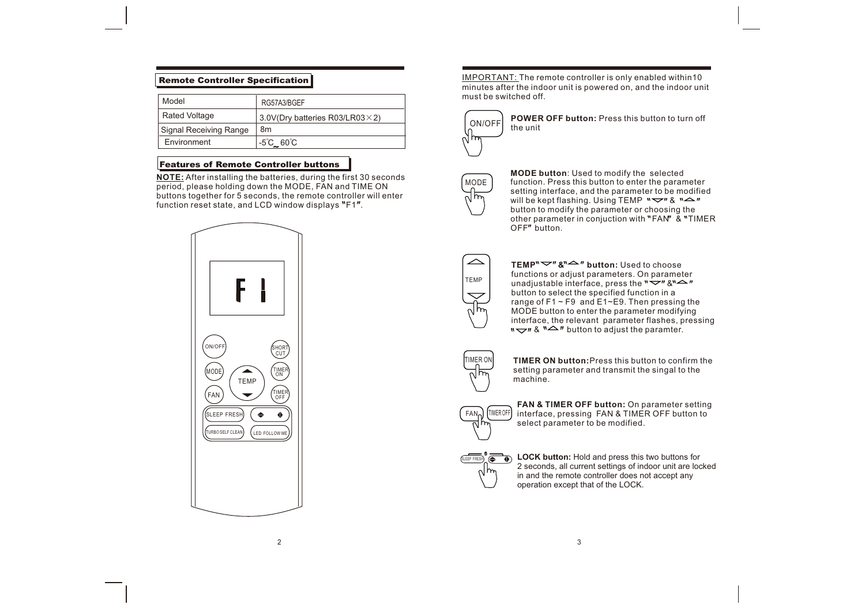### Remote Controller Specification

| Model                  | RG57A3/BGEF                             |
|------------------------|-----------------------------------------|
| <b>Rated Voltage</b>   | 3.0V(Dry batteries R03/LR03 $\times$ 2) |
| Signal Receiving Range | 8m                                      |
| Environment            | $-5^{\circ}$ C_ $60^{\circ}$ C          |

### Features of Remote Controller buttons

**NOTE:** After installing the batteries, during the first 30 seconds period, please holding down the MODE, FAN and TIME ON buttons together for 5 seconds, the remote controller will enter function reset state, and LCD window displays  $"F1"$ .



IMPORTANT: The remote controller is only enabled within10 minutes after the indoor unit is powered on, and the indoor unit must be switched off.



**POWER OFF button:** Press this button to turn off the unit



**MODE button**: Used to modify the selected function. Press this button to enter the parameter setting interface, and the parameter to be modified will be kept flashing. Using TEMP  $\sqrt[m]{\cdot}$  &  $\sqrt[m]{\cdot}$ button to modify the parameter or choosing the other parameter in conjuction with "FAN" & "TIMER OFF" button.



**TEMP<sup>"</sup>** $\vee$ **"**  $\&$ **"** $\triangle$ **" button:** Used to choose functions or adjust parameters. On parameter unadjustable interface, press the  $\sqrt{v}$  &  $\sqrt{v}$ button to select the specified function in a range of F1 ~ F9 and E1~E9. Then pressing the MODE button to enter the parameter modifying interface, the relevant parameter flashes, pressing  $\sqrt{a}$   $\sqrt{a}$   $\sqrt{b}$  button to adjust the paramter.



FAN

TIMER OFF

**TIMER ON button:**Press this button to confirm the setting parameter and transmit the singal to the machine.

**FAN & TIMER OFF button:** On parameter setting interface, pressing FAN & TIMER OFF button to select parameter to be modified.



**ELEEP FRESH)**  $\overline{\bigoplus_{S \text{LEP} FRESB}}$  **LOCK button:** Hold and press this two buttons for 2 seconds, all current settings of indoor unit are locked in and the remote controller does not accept any operation except that of the LOCK.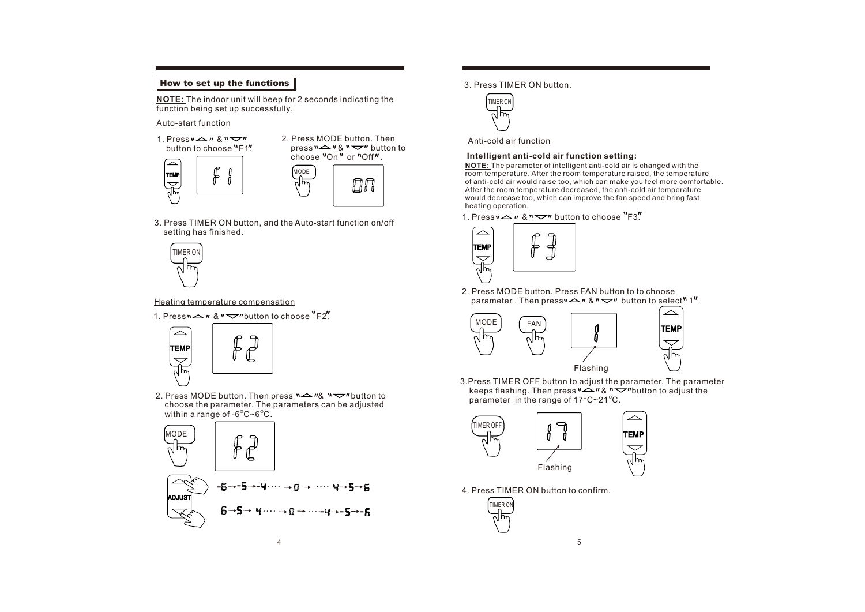### How to set up the functions

**NOTE:** The indoor unit will beep for 2 seconds indicating the  $\int_{\text{TIMER ON}}$   $\int_{\text{TIMER ON}}$ function being set up successfully.

### Auto-start function



3. Press TIMER ON button, and the Auto-start function on/off setting has finished.



Heating temperature compensation

1. Press  $\sum_{n=1}^{\infty}$   $\mathbb{R}^n$   $\sum_{n=1}^{\infty}$  button to choose  $\sum_{n=1}^{\infty}$ 



2. Press MODE button. Then press  $\sum_{k=1}^{\infty}$   $\sum_{k=1}^{\infty}$  button to choose the parameter. The parameters can be adjusted within a range of -6 $^{\circ}$ C~6 $^{\circ}$ C.



3. Press TIMER ON button.



### Anti-cold air function

### **Intelligent anti-cold air function setting:**

**NOTE:** The parameter of intelligent anti-cold air is changed with the room temperature. After the room temperature raised, the temperature of anti-cold air would raise too, which can make you feel more comfortable. After the room temperature decreased, the anti-cold air temperature would decrease too, which can improve the fan speed and bring fast heating operation.

1. Press  $\sim$   $\sim$   $\sim$   $\sim$   $\sim$  button to choose  $\rm{``F3''}$ 



2. Press MODE button. Press FAN button to to choose parameter. Then press  $\sim$   $\sim$   $\sim$   $\sim$   $\sim$  button to select<sup>n</sup> 1".



3.Press TIMER OFF button to adjust the parameter. The parameter keeps flashing. Then press  $\sim$   $\sim$   $\sim$   $\sim$   $\sim$   $\sim$  button to adjust the parameter in the range of 17 $\mathrm{^{\circ}C}\text{-}21\mathrm{^{\circ}C}$ .

TEMP

 $\triangle$ 



4. Press TIMER ON button to confirm.

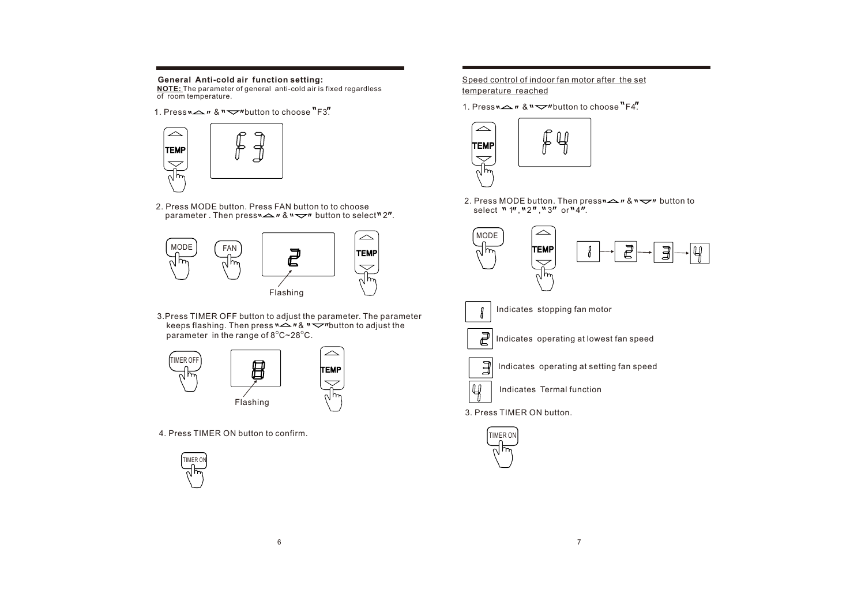### **General Anti-cold air function setting:**

**NOTE:** The parameter of general anti-cold air is fixed regardless of room temperature.

1. Press  $\sum$   $\sum$   $\sum$   $\sum$   $\sum$   $\sum$   $\sum$  button to choose  $\sum$   $F3$ .



2. Press MODE button. Press FAN button to to choose parameter. Then press  $\sim$   $\sim$   $\sim$   $\sim$   $\sim$  button to select<sup>n</sup> 2".



3.Press TIMER OFF button to adjust the parameter. The parameter keeps flashing. Then press  $\sum_{n=1}^{\infty}$   $n \sum_{n=1}^{\infty}$  button to adjust the parameter in the range of  $8^{\circ}$ C $\sim$ 28 $^{\circ}$ C.



4. Press TIMER ON button to confirm.



### Speed control of indoor fan motor after the set temperature reached

1. Press  $\sim$   $\sim$   $\sim$   $\sim$   $\sim$   $\sim$  button to choose  $\cdot$  F4.



2. Press MODE button. Then press ${\sf w}\underline{\leftharpoonup}$   ${\sf w}\underline{\leftharpoonup}$  button to select "1","2","3" or"4".

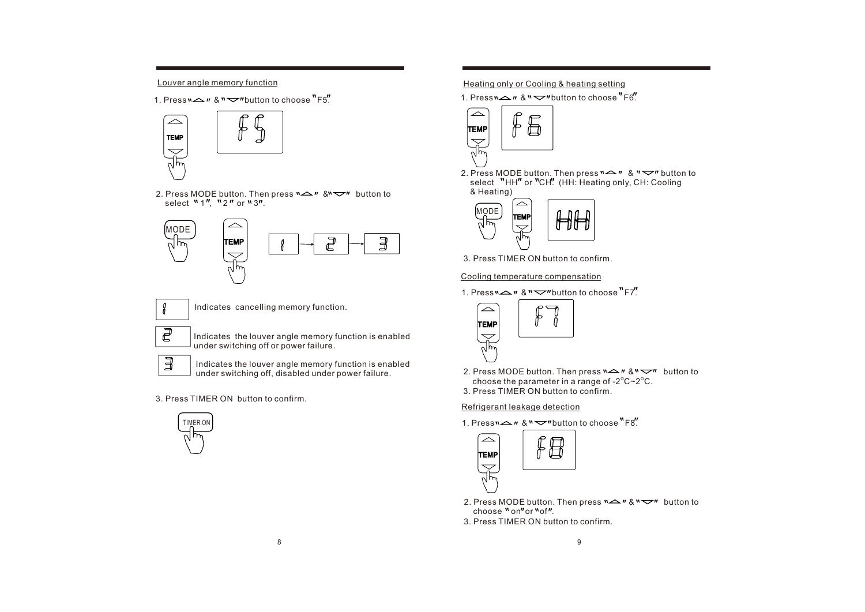1. Press  $\sim$   $n \&$   $\sim$   $n$  button to choose  $\mathsf{F}5.$ 



2. Press MODE button. Then press  $\sum_{n=1}^{\infty}$   $\mathbb{R}^{n}$  button to select  $M_1''$ ,  $N_2''$  or  $N_3''$ .





Indicates cancelling memory function.

Indicates the louver angle memory function is enabled under switching off or power failure.

 $\overline{\mathbb{F}}$ 

Indicates the louver angle memory function is enabled under switching off, disabled under power failure.

3. Press TIMER ON button to confirm.



### Louver angle memory function heating in the Heating only or Cooling & heating setting



2. Press MODE button. Then press & button to select "HH" or "CH". (HH: Heating only, CH: Cooling & Heating)



3. Press TIMER ON button to confirm.

### Cooling temperature compensation

1. Press  $\sim$   $\sim$   $\sim$   $\sim$   $\sim$   $\sim$   $\sim$  button to choose  $\rm{``F7''}$ .



3. Press TIMER ON button to confirm. 2. Press MODE button. Then press  $\sum_{n=1}^{\infty}$   $\mathbb{R}^n$  button to choose the parameter in a range of -2 $^{\circ}$ C~2 $^{\circ}$ C.

### Refrigerant leakage detection

1. Press  $\sim$   $\sim$   $\sim$   $\sim$   $\sim$   $\sim$  button to choose  $\rm{``F8''}$ .



- 2. Press MODE button. Then press  $\sum_{n=1}^{\infty}$  &  $\sum_{n=1}^{\infty}$  button to choose " on" or " of".
- 3. Press TIMER ON button to confirm.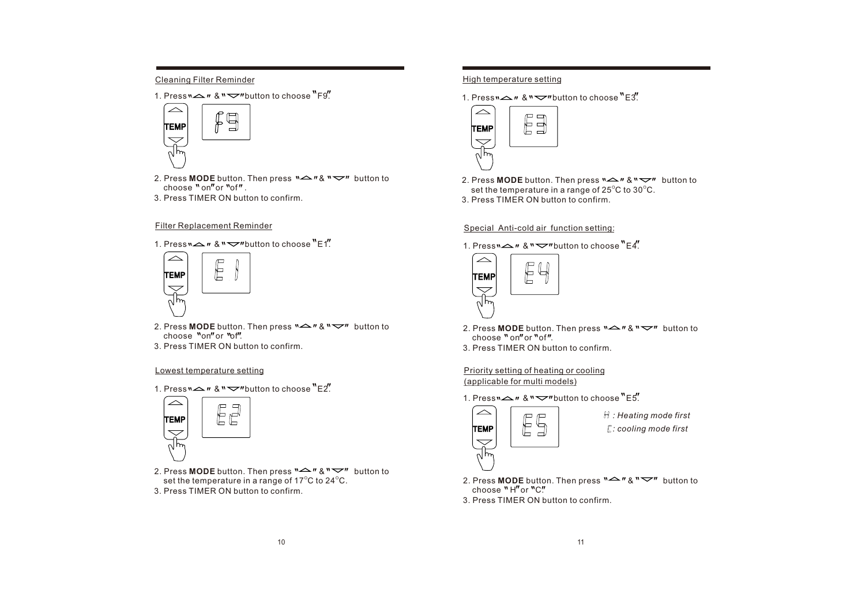### Cleaning Filter Reminder

1. Press  $\sim$   $\approx$   $\approx$   $\sim$   $\sim$   $\sim$   $\sim$  button to choose  $\sim$  F9.



- 2. Press **MODE** button. Then press  $\sim$   $\sim$   $\sim$   $\sim$   $\sim$  button to choose  $"\circ\circ"$  or  $"\circ f"$
- 3. Press TIMER ON button to confirm.

### Filter Replacement Reminder

1. Press  $\sim$   $\sim$   $\approx$   $\sim$   $\sim$   $\sim$  button to choose  $\sim$  E1.  $\sim$  1. Press  $\sim$   $\sim$   $\sim$   $\sim$   $\sim$   $\sim$   $\sim$  button to choose  $\sim$   $\sim$   $\sim$   $\sim$ 



- 2. Press **MODE** button. Then press  $\sum_{n=1}^{\infty}$   $\sum_{n=1}^{\infty}$  button to choose "on" or "of".
- 3. Press TIMER ON button to confirm. 3. Press TIMER ON button to confirm.

### Lowest temperature setting

1. Press  $\sum_{n=1}^{\infty}$   $\mathbb{R}^n$   $\sum_{n=1}^{\infty}$  button to choose  $\sum_{n=1}^{\infty}$ 



3. Press TIMER ON button to confirm. 2. Press **MODE** button. Then press  $\sum_{n=1}^{\infty}$  and  $\sum_{n=1}^{\infty}$  button to set the temperature in a range of 17 $^{\circ}$ C to 24 $^{\circ}$ C.

### High temperature setting

1. Press  $\sum$   $\sum$   $\sum$   $\sum$   $\sum$   $\sum$  button to choose  $\sum$   $F3$ .



3. Press TIMER ON button to confirm. 2. Press **MODE** button. Then press  $\mathbb{R} \rightarrow \mathbb{R} \rightarrow \mathbb{R}$  button to set the temperature in a range of 25 $^{\circ}$ C to 30 $^{\circ}$ C.

### Special Anti-cold air function setting:



- 2. Press **MODE** button. Then press  $\mathbb{R} \rightarrow \mathbb{R} \times \mathbb{R} \rightarrow \mathbb{R}$  button to choose " on" or "of".
- 

### Priority setting of heating or cooling (applicable for multi models)

1. Press  $\sim$   $\approx$   $\approx$   $\sim$   $\sim$   $\sim$  button to choose  $\sim$  E5.



- *: Heating mode first*
- *: cooling mode first*
- 2. Press **MODE** button. Then press  $\mathbb{R}^n \rightarrow \mathbb{R}^n$  button to  $choose''H''or''C''$
- 3. Press TIMER ON button to confirm.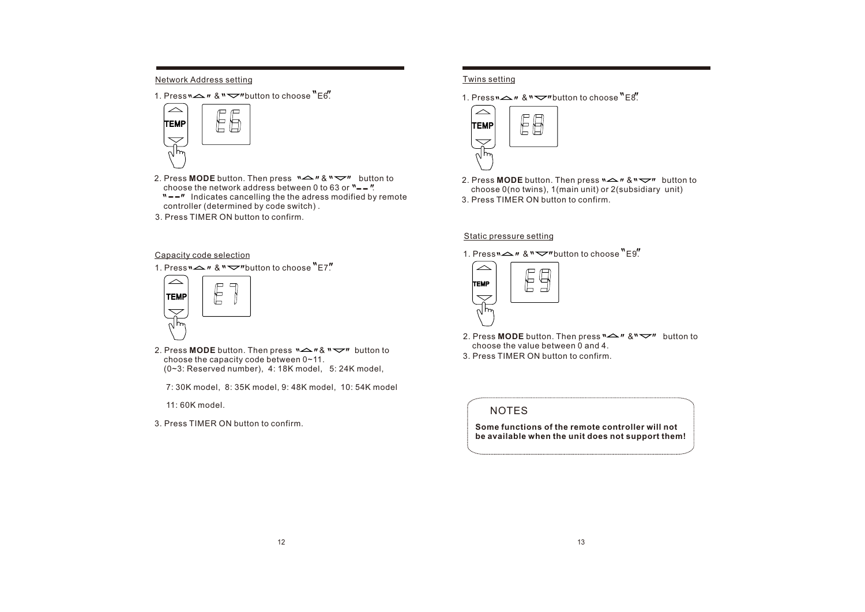### Network Address setting

1. Press  $\sum_{n=1}^{\infty}$   $\mathbb{R}^n$   $\sum_{n=1}^{\infty}$  button to choose  $\sum_{n=1}^{\infty}$ 



- 2. Press **MODE** button. Then press  $\mathbb{R}^n \rightarrow \mathbb{R}^n$  button to choose the network address between 0 to 63 or  $\frac{1}{2}$ .<br>  $\frac{1}{2}$ .  $N = m$  Indicates cancelling the the adress modified by remote<br>  $\frac{N = m}{\sqrt{N}}$  Indicates cancelling the the adress modified by remote controller (determined by code switch) .
- 3. Press TIMER ON button to confirm.

## Twins setting

1. Press  $\sim$   $\approx$   $\approx$   $\sim$   $\sim$   $\sim$   $\sim$  button to choose  $"$  F $s$ .



3. Press TIMER ON button to confirm. 2. Press **MODE** button. Then press  $\sum_{n=1}^{\infty}$  and  $\sum_{n=1}^{\infty}$  button to choose 0(no twins), 1(main unit) or 2(subsidiary unit)

### Static pressure setting

1. Press  $\sim$   $\prime\prime$  &  $\prime\prime$   $\sim$   $\prime\prime\prime$  button to choose  $\prime\prime$  E9.



- 2. Press **MODE** button. Then press  $\sum_{n=1}^{\infty}$  and  $\sum_{n=1}^{\infty}$  button to choose the value between 0 and 4.
- 3. Press TIMER ON button to confirm.
	- NOTES

**Some functions of the remote controller will not be available when the unit does not support them!**

- Capacity code selection
- 1. Press  $\sum_{n=1}^{\infty}$   $\mathbb{R}^n$   $\sum_{n=1}^{\infty}$  button to choose  $\sum_{n=1}^{\infty}$



- 2. Press **MODE** button. Then press  $\mathbf{X} \rightarrow \mathbf{X}$   $\mathbf{X} \rightarrow \mathbf{Y}$  button to choose the capacity code between 0~11. (0~3: Reserved number), 4: 18K model, 5: 24K model,
	- 7: 30K model, 8: 35K model, 9: 48K model, 10: 54K model

11: 60K model.

3. Press TIMER ON button to confirm.